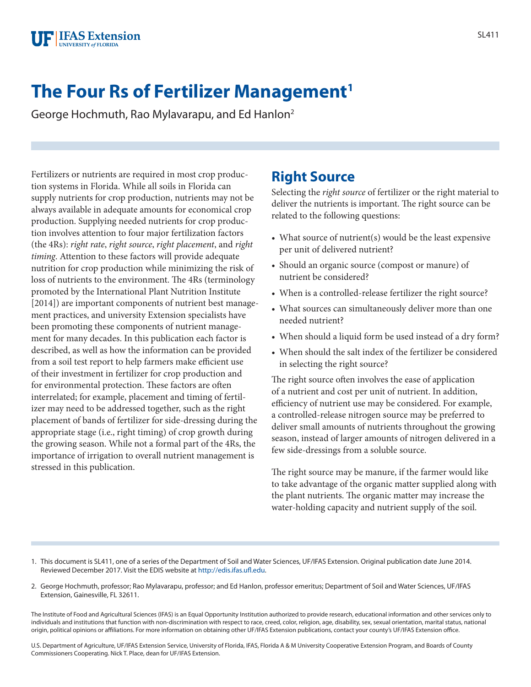

# **The Four Rs of Fertilizer Management<sup>1</sup>**

George Hochmuth, Rao Mylavarapu, and Ed Hanlon2

Fertilizers or nutrients are required in most crop production systems in Florida. While all soils in Florida can supply nutrients for crop production, nutrients may not be always available in adequate amounts for economical crop production. Supplying needed nutrients for crop production involves attention to four major fertilization factors (the 4Rs): *right rate*, *right source*, *right placement*, and *right timing*. Attention to these factors will provide adequate nutrition for crop production while minimizing the risk of loss of nutrients to the environment. The 4Rs (terminology promoted by the International Plant Nutrition Institute [2014]) are important components of nutrient best management practices, and university Extension specialists have been promoting these components of nutrient management for many decades. In this publication each factor is described, as well as how the information can be provided from a soil test report to help farmers make efficient use of their investment in fertilizer for crop production and for environmental protection. These factors are often interrelated; for example, placement and timing of fertilizer may need to be addressed together, such as the right placement of bands of fertilizer for side-dressing during the appropriate stage (i.e., right timing) of crop growth during the growing season. While not a formal part of the 4Rs, the importance of irrigation to overall nutrient management is stressed in this publication.

#### **Right Source**

Selecting the *right source* of fertilizer or the right material to deliver the nutrients is important. The right source can be related to the following questions:

- What source of nutrient(s) would be the least expensive per unit of delivered nutrient?
- Should an organic source (compost or manure) of nutrient be considered?
- When is a controlled-release fertilizer the right source?
- What sources can simultaneously deliver more than one needed nutrient?
- When should a liquid form be used instead of a dry form?
- When should the salt index of the fertilizer be considered in selecting the right source?

The right source often involves the ease of application of a nutrient and cost per unit of nutrient. In addition, efficiency of nutrient use may be considered. For example, a controlled-release nitrogen source may be preferred to deliver small amounts of nutrients throughout the growing season, instead of larger amounts of nitrogen delivered in a few side-dressings from a soluble source.

The right source may be manure, if the farmer would like to take advantage of the organic matter supplied along with the plant nutrients. The organic matter may increase the water-holding capacity and nutrient supply of the soil.

- 1. This document is SL411, one of a series of the Department of Soil and Water Sciences, UF/IFAS Extension. Original publication date June 2014. Reviewed December 2017. Visit the EDIS website at <http://edis.ifas.ufl.edu>.
- 2. George Hochmuth, professor; Rao Mylavarapu, professor; and Ed Hanlon, professor emeritus; Department of Soil and Water Sciences, UF/IFAS Extension, Gainesville, FL 32611.

The Institute of Food and Agricultural Sciences (IFAS) is an Equal Opportunity Institution authorized to provide research, educational information and other services only to individuals and institutions that function with non-discrimination with respect to race, creed, color, religion, age, disability, sex, sexual orientation, marital status, national origin, political opinions or affiliations. For more information on obtaining other UF/IFAS Extension publications, contact your county's UF/IFAS Extension office.

U.S. Department of Agriculture, UF/IFAS Extension Service, University of Florida, IFAS, Florida A & M University Cooperative Extension Program, and Boards of County Commissioners Cooperating. Nick T. Place, dean for UF/IFAS Extension.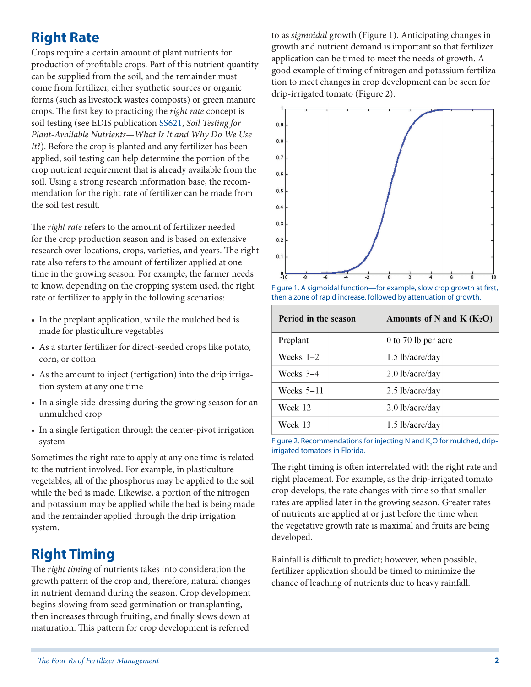## **Right Rate**

Crops require a certain amount of plant nutrients for production of profitable crops. Part of this nutrient quantity can be supplied from the soil, and the remainder must come from fertilizer, either synthetic sources or organic forms (such as livestock wastes composts) or green manure crops. The first key to practicing the *right rate* concept is soil testing (see EDIS publication [SS621,](http://edis.ifas.ufl.edu/ss621) *Soil Testing for Plant-Available Nutrients—What Is It and Why Do We Use It*?). Before the crop is planted and any fertilizer has been applied, soil testing can help determine the portion of the crop nutrient requirement that is already available from the soil. Using a strong research information base, the recommendation for the right rate of fertilizer can be made from the soil test result.

The *right rate* refers to the amount of fertilizer needed for the crop production season and is based on extensive research over locations, crops, varieties, and years. The right rate also refers to the amount of fertilizer applied at one time in the growing season. For example, the farmer needs to know, depending on the cropping system used, the right rate of fertilizer to apply in the following scenarios:

- In the preplant application, while the mulched bed is made for plasticulture vegetables
- As a starter fertilizer for direct-seeded crops like potato, corn, or cotton
- As the amount to inject (fertigation) into the drip irrigation system at any one time
- In a single side-dressing during the growing season for an unmulched crop
- In a single fertigation through the center-pivot irrigation system

Sometimes the right rate to apply at any one time is related to the nutrient involved. For example, in plasticulture vegetables, all of the phosphorus may be applied to the soil while the bed is made. Likewise, a portion of the nitrogen and potassium may be applied while the bed is being made and the remainder applied through the drip irrigation system.

## **Right Timing**

The *right timing* of nutrients takes into consideration the growth pattern of the crop and, therefore, natural changes in nutrient demand during the season. Crop development begins slowing from seed germination or transplanting, then increases through fruiting, and finally slows down at maturation. This pattern for crop development is referred

to as *sigmoidal* growth (Figure 1). Anticipating changes in growth and nutrient demand is important so that fertilizer application can be timed to meet the needs of growth. A good example of timing of nitrogen and potassium fertilization to meet changes in crop development can be seen for drip-irrigated tomato (Figure 2).



Figure 1. A sigmoidal function—for example, slow crop growth at first, then a zone of rapid increase, followed by attenuation of growth.

| Period in the season | Amounts of N and K $(K_2O)$ |
|----------------------|-----------------------------|
| Preplant             | 0 to 70 lb per acre         |
| Weeks $1-2$          | $1.5$ lb/acre/day           |
| Weeks 3–4            | $2.0$ lb/acre/day           |
| Weeks $5-11$         | $2.5$ lb/acre/day           |
| Week 12              | $2.0$ lb/acre/day           |
| Week 13              | $1.5$ lb/acre/day           |

Figure 2. Recommendations for injecting N and  $\text{K}_{2}\text{O}$  for mulched, dripirrigated tomatoes in Florida.

The right timing is often interrelated with the right rate and right placement. For example, as the drip-irrigated tomato crop develops, the rate changes with time so that smaller rates are applied later in the growing season. Greater rates of nutrients are applied at or just before the time when the vegetative growth rate is maximal and fruits are being developed.

Rainfall is difficult to predict; however, when possible, fertilizer application should be timed to minimize the chance of leaching of nutrients due to heavy rainfall.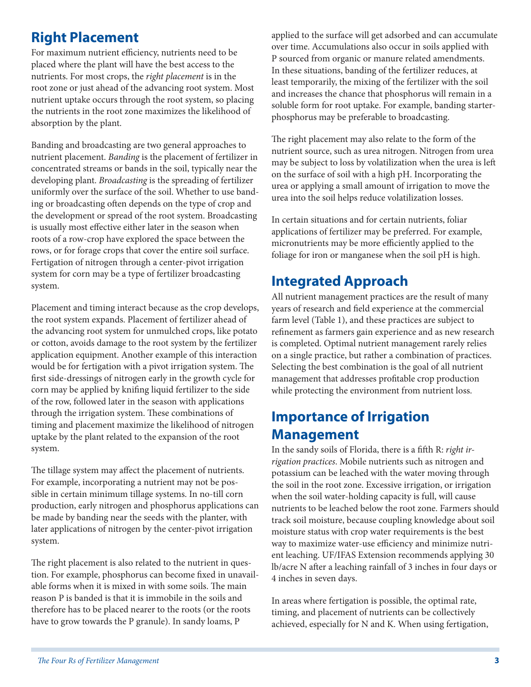#### **Right Placement**

For maximum nutrient efficiency, nutrients need to be placed where the plant will have the best access to the nutrients. For most crops, the *right placement* is in the root zone or just ahead of the advancing root system. Most nutrient uptake occurs through the root system, so placing the nutrients in the root zone maximizes the likelihood of absorption by the plant.

Banding and broadcasting are two general approaches to nutrient placement. *Banding* is the placement of fertilizer in concentrated streams or bands in the soil, typically near the developing plant. *Broadcasting* is the spreading of fertilizer uniformly over the surface of the soil. Whether to use banding or broadcasting often depends on the type of crop and the development or spread of the root system. Broadcasting is usually most effective either later in the season when roots of a row-crop have explored the space between the rows, or for forage crops that cover the entire soil surface. Fertigation of nitrogen through a center-pivot irrigation system for corn may be a type of fertilizer broadcasting system.

Placement and timing interact because as the crop develops, the root system expands. Placement of fertilizer ahead of the advancing root system for unmulched crops, like potato or cotton, avoids damage to the root system by the fertilizer application equipment. Another example of this interaction would be for fertigation with a pivot irrigation system. The first side-dressings of nitrogen early in the growth cycle for corn may be applied by knifing liquid fertilizer to the side of the row, followed later in the season with applications through the irrigation system. These combinations of timing and placement maximize the likelihood of nitrogen uptake by the plant related to the expansion of the root system.

The tillage system may affect the placement of nutrients. For example, incorporating a nutrient may not be possible in certain minimum tillage systems. In no-till corn production, early nitrogen and phosphorus applications can be made by banding near the seeds with the planter, with later applications of nitrogen by the center-pivot irrigation system.

The right placement is also related to the nutrient in question. For example, phosphorus can become fixed in unavailable forms when it is mixed in with some soils. The main reason P is banded is that it is immobile in the soils and therefore has to be placed nearer to the roots (or the roots have to grow towards the P granule). In sandy loams, P

applied to the surface will get adsorbed and can accumulate over time. Accumulations also occur in soils applied with P sourced from organic or manure related amendments. In these situations, banding of the fertilizer reduces, at least temporarily, the mixing of the fertilizer with the soil and increases the chance that phosphorus will remain in a soluble form for root uptake. For example, banding starterphosphorus may be preferable to broadcasting.

The right placement may also relate to the form of the nutrient source, such as urea nitrogen. Nitrogen from urea may be subject to loss by volatilization when the urea is left on the surface of soil with a high pH. Incorporating the urea or applying a small amount of irrigation to move the urea into the soil helps reduce volatilization losses.

In certain situations and for certain nutrients, foliar applications of fertilizer may be preferred. For example, micronutrients may be more efficiently applied to the foliage for iron or manganese when the soil pH is high.

## **Integrated Approach**

All nutrient management practices are the result of many years of research and field experience at the commercial farm level (Table 1), and these practices are subject to refinement as farmers gain experience and as new research is completed. Optimal nutrient management rarely relies on a single practice, but rather a combination of practices. Selecting the best combination is the goal of all nutrient management that addresses profitable crop production while protecting the environment from nutrient loss.

#### **Importance of Irrigation Management**

In the sandy soils of Florida, there is a fifth R: *right irrigation practices*. Mobile nutrients such as nitrogen and potassium can be leached with the water moving through the soil in the root zone. Excessive irrigation, or irrigation when the soil water-holding capacity is full, will cause nutrients to be leached below the root zone. Farmers should track soil moisture, because coupling knowledge about soil moisture status with crop water requirements is the best way to maximize water-use efficiency and minimize nutrient leaching. UF/IFAS Extension recommends applying 30 lb/acre N after a leaching rainfall of 3 inches in four days or 4 inches in seven days.

In areas where fertigation is possible, the optimal rate, timing, and placement of nutrients can be collectively achieved, especially for N and K. When using fertigation,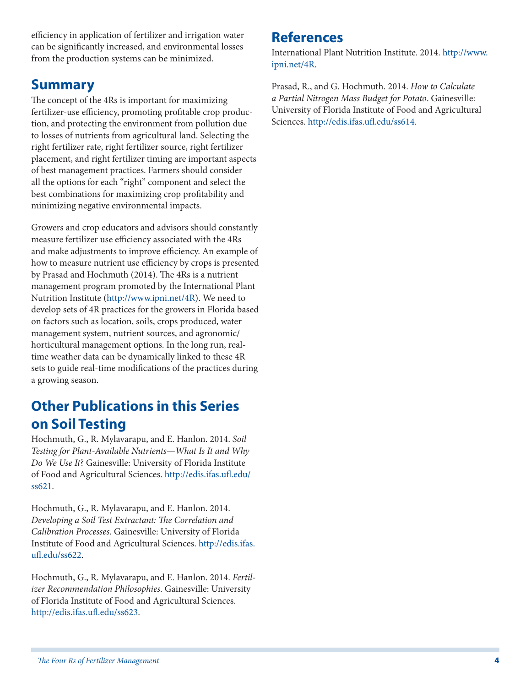efficiency in application of fertilizer and irrigation water can be significantly increased, and environmental losses from the production systems can be minimized.

#### **Summary**

The concept of the 4Rs is important for maximizing fertilizer-use efficiency, promoting profitable crop production, and protecting the environment from pollution due to losses of nutrients from agricultural land. Selecting the right fertilizer rate, right fertilizer source, right fertilizer placement, and right fertilizer timing are important aspects of best management practices. Farmers should consider all the options for each "right" component and select the best combinations for maximizing crop profitability and minimizing negative environmental impacts.

Growers and crop educators and advisors should constantly measure fertilizer use efficiency associated with the 4Rs and make adjustments to improve efficiency. An example of how to measure nutrient use efficiency by crops is presented by Prasad and Hochmuth (2014). The 4Rs is a nutrient management program promoted by the International Plant Nutrition Institute [\(http://www.ipni.net/4R](http://www.ipni.net/4R)). We need to develop sets of 4R practices for the growers in Florida based on factors such as location, soils, crops produced, water management system, nutrient sources, and agronomic/ horticultural management options. In the long run, realtime weather data can be dynamically linked to these 4R sets to guide real-time modifications of the practices during a growing season.

## **Other Publications in this Series on Soil Testing**

Hochmuth, G., R. Mylavarapu, and E. Hanlon. 2014. *Soil Testing for Plant-Available Nutrients—What Is It and Why Do We Use It*? Gainesville: University of Florida Institute of Food and Agricultural Sciences. [http://edis.ifas.ufl.edu/](http://edis.ifas.ufl.edu/ss621) [ss621.](http://edis.ifas.ufl.edu/ss621)

Hochmuth, G., R. Mylavarapu, and E. Hanlon. 2014. *Developing a Soil Test Extractant: The Correlation and Calibration Processes*. Gainesville: University of Florida Institute of Food and Agricultural Sciences. [http://edis.ifas.](http://edis.ifas.ufl.edu/ss622) [ufl.edu/ss622.](http://edis.ifas.ufl.edu/ss622)

Hochmuth, G., R. Mylavarapu, and E. Hanlon. 2014. *Fertilizer Recommendation Philosophies*. Gainesville: University of Florida Institute of Food and Agricultural Sciences. <http://edis.ifas.ufl.edu/ss623>.

#### **References**

International Plant Nutrition Institute. 2014. [http://www.](http://www.ipni.net/4R) [ipni.net/4R.](http://www.ipni.net/4R)

Prasad, R., and G. Hochmuth. 2014. *How to Calculate a Partial Nitrogen Mass Budget for Potato*. Gainesville: University of Florida Institute of Food and Agricultural Sciences.<http://edis.ifas.ufl.edu/ss614>.